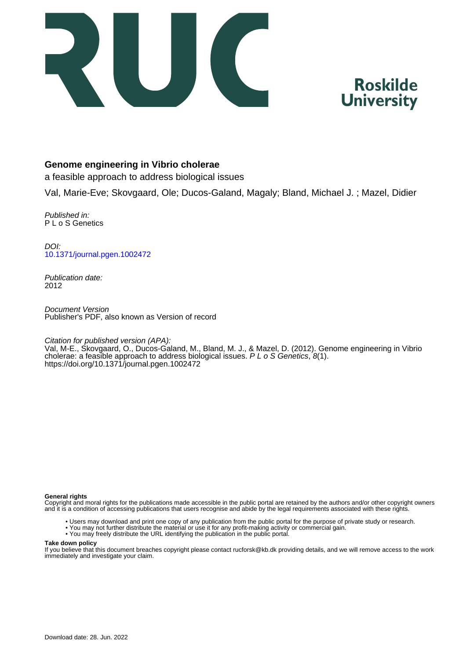



# **Genome engineering in Vibrio cholerae**

a feasible approach to address biological issues

Val, Marie-Eve; Skovgaard, Ole; Ducos-Galand, Magaly; Bland, Michael J. ; Mazel, Didier

Published in: P L o S Genetics

DOI: [10.1371/journal.pgen.1002472](https://doi.org/10.1371/journal.pgen.1002472)

Publication date: 2012

Document Version Publisher's PDF, also known as Version of record

Citation for published version (APA):

Val, M-E., Skovgaard, O., Ducos-Galand, M., Bland, M. J., & Mazel, D. (2012). Genome engineering in Vibrio cholerae: a feasible approach to address biological issues.  $P L o S$  Genetics,  $8(1)$ . <https://doi.org/10.1371/journal.pgen.1002472>

#### **General rights**

Copyright and moral rights for the publications made accessible in the public portal are retained by the authors and/or other copyright owners and it is a condition of accessing publications that users recognise and abide by the legal requirements associated with these rights.

- Users may download and print one copy of any publication from the public portal for the purpose of private study or research.
- You may not further distribute the material or use it for any profit-making activity or commercial gain.
- You may freely distribute the URL identifying the publication in the public portal.

#### **Take down policy**

If you believe that this document breaches copyright please contact rucforsk@kb.dk providing details, and we will remove access to the work immediately and investigate your claim.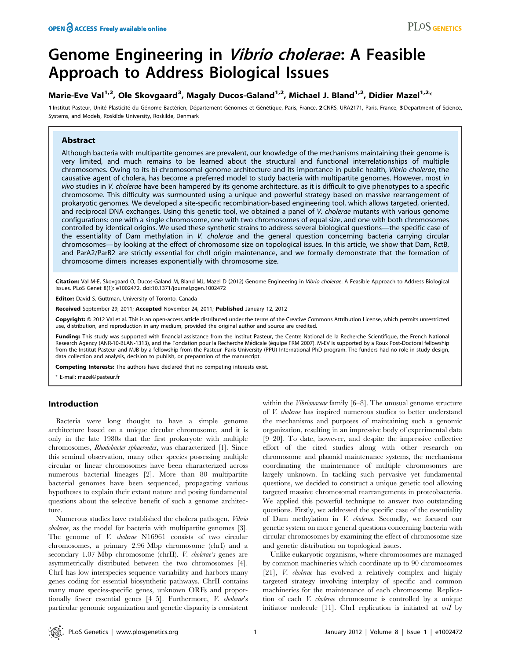# Genome Engineering in Vibrio cholerae: A Feasible Approach to Address Biological Issues

# Marie-Eve Val<sup>1,2</sup>, Ole Skovgaard<sup>3</sup>, Magaly Ducos-Galand<sup>1,2</sup>, Michael J. Bland<sup>1,2</sup>, Didier Mazel<sup>1,2</sup>\*

1 Institut Pasteur, Unité Plasticité du Génome Bactérien, Département Génomes et Génétique, Paris, France, 2 CNRS, URA2171, Paris, France, 3 Department of Science, Systems, and Models, Roskilde University, Roskilde, Denmark

# Abstract

Although bacteria with multipartite genomes are prevalent, our knowledge of the mechanisms maintaining their genome is very limited, and much remains to be learned about the structural and functional interrelationships of multiple chromosomes. Owing to its bi-chromosomal genome architecture and its importance in public health, Vibrio cholerae, the causative agent of cholera, has become a preferred model to study bacteria with multipartite genomes. However, most in vivo studies in V. cholerae have been hampered by its genome architecture, as it is difficult to give phenotypes to a specific chromosome. This difficulty was surmounted using a unique and powerful strategy based on massive rearrangement of prokaryotic genomes. We developed a site-specific recombination-based engineering tool, which allows targeted, oriented, and reciprocal DNA exchanges. Using this genetic tool, we obtained a panel of V. cholerae mutants with various genome configurations: one with a single chromosome, one with two chromosomes of equal size, and one with both chromosomes controlled by identical origins. We used these synthetic strains to address several biological questions—the specific case of the essentiality of Dam methylation in V. cholerae and the general question concerning bacteria carrying circular chromosomes—by looking at the effect of chromosome size on topological issues. In this article, we show that Dam, RctB, and ParA2/ParB2 are strictly essential for chrII origin maintenance, and we formally demonstrate that the formation of chromosome dimers increases exponentially with chromosome size.

Citation: Val M-E, Skovgaard O, Ducos-Galand M, Bland MJ, Mazel D (2012) Genome Engineering in Vibrio cholerae: A Feasible Approach to Address Biological Issues. PLoS Genet 8(1): e1002472. doi:10.1371/journal.pgen.1002472

Editor: David S. Guttman, University of Toronto, Canada

Received September 29, 2011; Accepted November 24, 2011; Published January 12, 2012

Copyright: © 2012 Val et al. This is an open-access article distributed under the terms of the Creative Commons Attribution License, which permits unrestricted use, distribution, and reproduction in any medium, provided the original author and source are credited.

Funding: This study was supported with financial assistance from the Institut Pasteur, the Centre National de la Recherche Scientifique, the French National Research Agency (ANR-10-BLAN-1313), and the Fondation pour la Recherche Médicale (équipe FRM 2007). M-EV is supported by a Roux Post-Doctoral fellowship from the Institut Pasteur and MJB by a fellowship from the Pasteur–Paris University (PPU) International PhD program. The funders had no role in study design, data collection and analysis, decision to publish, or preparation of the manuscript.

Competing Interests: The authors have declared that no competing interests exist.

\* E-mail: mazel@pasteur.fr

#### Introduction

Bacteria were long thought to have a simple genome architecture based on a unique circular chromosome, and it is only in the late 1980s that the first prokaryote with multiple chromosomes, Rhodobacter sphaeroides, was characterized [1]. Since this seminal observation, many other species possessing multiple circular or linear chromosomes have been characterized across numerous bacterial lineages [2]. More than 80 multipartite bacterial genomes have been sequenced, propagating various hypotheses to explain their extant nature and posing fundamental questions about the selective benefit of such a genome architecture.

Numerous studies have established the cholera pathogen, Vibrio cholerae, as the model for bacteria with multipartite genomes [3]. The genome of *V. cholerae* N16961 consists of two circular chromosomes, a primary 2.96 Mbp chromosome (chrI) and a secondary 1.07 Mbp chromosome (chrII). V. cholerae's genes are asymmetrically distributed between the two chromosomes [4]. ChrI has low interspecies sequence variability and harbors many genes coding for essential biosynthetic pathways. ChrII contains many more species-specific genes, unknown ORFs and proportionally fewer essential genes [4–5]. Furthermore, V. cholerae's particular genomic organization and genetic disparity is consistent within the *Vibrionaceae* family [6–8]. The unusual genome structure of V. cholerae has inspired numerous studies to better understand the mechanisms and purposes of maintaining such a genomic organization, resulting in an impressive body of experimental data [9–20]. To date, however, and despite the impressive collective effort of the cited studies along with other research on chromosome and plasmid maintenance systems, the mechanisms coordinating the maintenance of multiple chromosomes are largely unknown. In tackling such pervasive yet fundamental questions, we decided to construct a unique genetic tool allowing targeted massive chromosomal rearrangements in proteobacteria. We applied this powerful technique to answer two outstanding questions. Firstly, we addressed the specific case of the essentiality of Dam methylation in V. cholerae. Secondly, we focused our genetic system on more general questions concerning bacteria with circular chromosomes by examining the effect of chromosome size and genetic distribution on topological issues.

Unlike eukaryotic organisms, where chromosomes are managed by common machineries which coordinate up to 90 chromosomes [21], *V. cholerae* has evolved a relatively complex and highly targeted strategy involving interplay of specific and common machineries for the maintenance of each chromosome. Replication of each V. cholerae chromosome is controlled by a unique initiator molecule [11]. ChrI replication is initiated at oriI by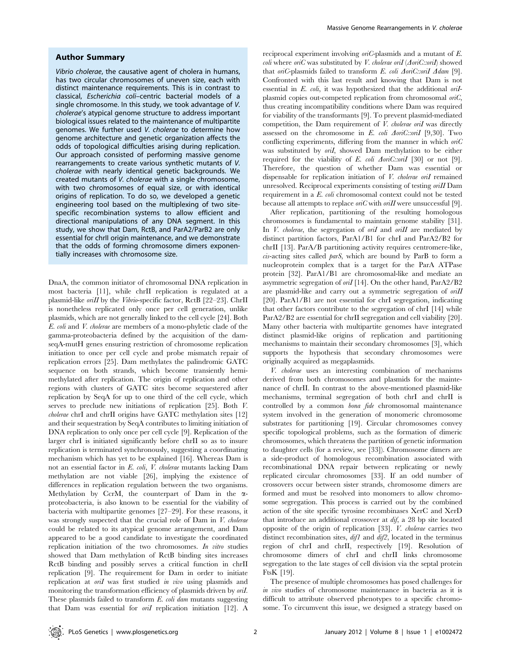#### Author Summary

Vibrio cholerae, the causative agent of cholera in humans, has two circular chromosomes of uneven size, each with distinct maintenance requirements. This is in contrast to classical, Escherichia coli–centric bacterial models of a single chromosome. In this study, we took advantage of V. cholerae's atypical genome structure to address important biological issues related to the maintenance of multipartite genomes. We further used V. cholerae to determine how genome architecture and genetic organization affects the odds of topological difficulties arising during replication. Our approach consisted of performing massive genome rearrangements to create various synthetic mutants of V. cholerae with nearly identical genetic backgrounds. We created mutants of V. cholerae with a single chromosome, with two chromosomes of equal size, or with identical origins of replication. To do so, we developed a genetic engineering tool based on the multiplexing of two sitespecific recombination systems to allow efficient and directional manipulations of any DNA segment. In this study, we show that Dam, RctB, and ParA2/ParB2 are only essential for chrII origin maintenance, and we demonstrate that the odds of forming chromosome dimers exponentially increases with chromosome size.

DnaA, the common initiator of chromosomal DNA replication in most bacteria [11], while chrII replication is regulated at a plasmid-like oriII by the Vibrio-specific factor, RctB [22–23]. ChrII is nonetheless replicated only once per cell generation, unlike plasmids, which are not generally linked to the cell cycle [24]. Both E. coli and V. cholerae are members of a mono-phyletic clade of the gamma-proteobacteria defined by the acquisition of the damseqA-mutH genes ensuring restriction of chromosome replication initiation to once per cell cycle and probe mismatch repair of replication errors [25]. Dam methylates the palindromic GATC sequence on both strands, which become transiently hemimethylated after replication. The origin of replication and other regions with clusters of GATC sites become sequestered after replication by SeqA for up to one third of the cell cycle, which serves to preclude new initiations of replication [25]. Both V. cholerae chrI and chrII origins have GATC methylation sites [12] and their sequestration by SeqA contributes to limiting initiation of DNA replication to only once per cell cycle [9]. Replication of the larger chrI is initiated significantly before chrII so as to insure replication is terminated synchronously, suggesting a coordinating mechanism which has yet to be explained [16]. Whereas Dam is not an essential factor in E. coli, V. cholerae mutants lacking Dam methylation are not viable [26], implying the existence of differences in replication regulation between the two organisms. Methylation by CcrM, the counterpart of Dam in the  $\alpha$ proteobacteria, is also known to be essential for the viability of bacteria with multipartite genomes [27–29]. For these reasons, it was strongly suspected that the crucial role of Dam in V. cholerae could be related to its atypical genome arrangement, and Dam appeared to be a good candidate to investigate the coordinated replication initiation of the two chromosomes. In vitro studies showed that Dam methylation of RctB binding sites increases RctB binding and possibly serves a critical function in chrII replication [9]. The requirement for Dam in order to initiate replication at *oriI* was first studied in vivo using plasmids and monitoring the transformation efficiency of plasmids driven by *oril*. These plasmids failed to transform E. coli dam mutants suggesting that Dam was essential for *oriI* replication initiation [12]. A

reciprocal experiment involving oriC-plasmids and a mutant of E. *coli* where oriC was substituted by *V. cholerae oriI* ( $\Delta$ oriC::oriI) showed that oriC-plasmids failed to transform E. coli  $\Delta$ oriC::oriI  $\Delta$ dam [9]. Confronted with this last result and knowing that Dam is not essential in  $E$ . coli, it was hypothesized that the additional ori $I$ plasmid copies out-competed replication from chromosomal oriC, thus creating incompatibility conditions where Dam was required for viability of the transformants [9]. To prevent plasmid-mediated competition, the Dam requirement of V. cholerae oriI was directly assessed on the chromosome in E. coli  $\Delta on C:$ :oriI [9,30]. Two conflicting experiments, differing from the manner in which  $\omega$ ic was substituted by oril, showed Dam methylation to be either required for the viability of E. coli  $\Delta on C::on I$  [30] or not [9]. Therefore, the question of whether Dam was essential or dispensable for replication initiation of V. cholerae oriI remained unresolved. Reciprocal experiments consisting of testing oriII Dam requirement in a E. coli chromosomal context could not be tested because all attempts to replace  $\text{ori } C$  with  $\text{ori } H$  were unsuccessful [9].

After replication, partitioning of the resulting homologous chromosomes is fundamental to maintain genome stability [31]. In  $V$ . cholerae, the segregation of ori $I$  and ori $II$  are mediated by distinct partition factors, ParA1/B1 for chrI and ParA2/B2 for chrII [13]. ParA/B partitioning activity requires centromere-like, cis-acting sites called parS, which are bound by ParB to form a nucleoprotein complex that is a target for the ParA ATPase protein [32]. ParA1/B1 are chromosomal-like and mediate an asymmetric segregation of oriI [14]. On the other hand, ParA2/B2 are plasmid-like and carry out a symmetric segregation of oriII [20]. ParA1/B1 are not essential for chrI segregation, indicating that other factors contribute to the segregation of chrI [14] while ParA2/B2 are essential for chrII segregation and cell viability [20]. Many other bacteria with multipartite genomes have integrated distinct plasmid-like origins of replication and partitioning mechanisms to maintain their secondary chromosomes [3], which supports the hypothesis that secondary chromosomes were originally acquired as megaplasmids.

V. cholerae uses an interesting combination of mechanisms derived from both chromosomes and plasmids for the maintenance of chrII. In contrast to the above-mentioned plasmid-like mechanisms, terminal segregation of both chrI and chrII is controlled by a common bona fide chromosomal maintenance system involved in the generation of monomeric chromosome substrates for partitioning [19]. Circular chromosomes convey specific topological problems, such as the formation of dimeric chromosomes, which threatens the partition of genetic information to daughter cells (for a review, see [33]). Chromosome dimers are a side-product of homologous recombination associated with recombinational DNA repair between replicating or newly replicated circular chromosomes [33]. If an odd number of crossovers occur between sister strands, chromosome dimers are formed and must be resolved into monomers to allow chromosome segregation. This process is carried out by the combined action of the site specific tyrosine recombinases XerC and XerD that introduce an additional crossover at dif, a 28 bp site located opposite of the origin of replication [33]. V. cholerae carries two distinct recombination sites,  $diff$  and  $diff$ , located in the terminus region of chrI and chrII, respectively [19]. Resolution of chromosome dimers of chrI and chrII links chromosome segregation to the late stages of cell division via the septal protein FtsK [19].

The presence of multiple chromosomes has posed challenges for in vivo studies of chromosome maintenance in bacteria as it is difficult to attribute observed phenotypes to a specific chromosome. To circumvent this issue, we designed a strategy based on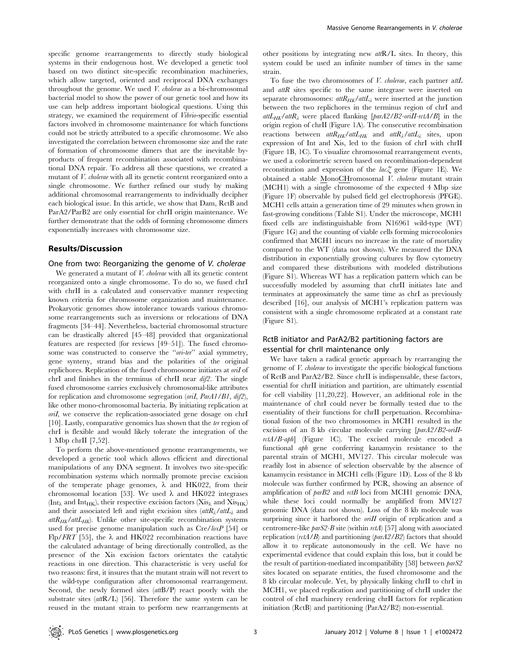specific genome rearrangements to directly study biological systems in their endogenous host. We developed a genetic tool based on two distinct site-specific recombination machineries, which allow targeted, oriented and reciprocal DNA exchanges throughout the genome. We used V. cholerae as a bi-chromosomal bacterial model to show the power of our genetic tool and how its use can help address important biological questions. Using this strategy, we examined the requirement of Vibrio-specific essential factors involved in chromosome maintenance for which functions could not be strictly attributed to a specific chromosome. We also investigated the correlation between chromosome size and the rate of formation of chromosome dimers that are the inevitable byproducts of frequent recombination associated with recombinational DNA repair. To address all these questions, we created a mutant of *V. cholerae* with all its genetic content reorganized onto a single chromosome. We further refined our study by making additional chromosomal rearrangements to individually decipher each biological issue. In this article, we show that Dam, RctB and ParA2/ParB2 are only essential for chrII origin maintenance. We further demonstrate that the odds of forming chromosome dimers exponentially increases with chromosome size.

# Results/Discussion

# One from two: Reorganizing the genome of V. cholerae

We generated a mutant of *V. cholerae* with all its genetic content reorganized onto a single chromosome. To do so, we fused chrI with chrII in a calculated and conservative manner respecting known criteria for chromosome organization and maintenance. Prokaryotic genomes show intolerance towards various chromosome rearrangements such as inversions or relocations of DNA fragments [34–44]. Nevertheless, bacterial chromosomal structure can be drastically altered [45–48] provided that organizational features are respected (for reviews [49–51]). The fused chromosome was constructed to conserve the "ori-ter" axial symmetry, gene synteny, strand bias and the polarities of the original replichores. Replication of the fused chromosome initiates at oriI of chrI and finishes in the terminus of chrII near dif2. The single fused chromosome carries exclusively chromosomal-like attributes for replication and chromosome segregation (oriI, ParA1/B1, dif2), like other mono-chromosomal bacteria. By initiating replication at oriI, we conserve the replication-associated gene dosage on chrI [10]. Lastly, comparative genomics has shown that the ter region of chrI is flexible and would likely tolerate the integration of the 1 Mbp chrII [7,52].

To perform the above-mentioned genome rearrangements, we developed a genetic tool which allows efficient and directional manipulations of any DNA segment. It involves two site-specific recombination systems which normally promote precise excision of the temperate phage genomes,  $\lambda$  and HK022, from their chromosomal location [53]. We used  $\lambda$  and HK022 integrases (Int<sub> $\lambda$ </sub> and Int<sub>HK</sub>), their respective excision factors (Xis<sub> $\lambda$ </sub> and Xis<sub>HK</sub>) and their associated left and right excision sites  $\int dt R_\lambda/dt L_\lambda$  and  $attR_{HK}/attL_{HK}$ . Unlike other site-specific recombination systems used for precise genome manipulation such as Cre/loxP [54] or Flp/FRT [55], the  $\lambda$  and HK022 recombination reactions have the calculated advantage of being directionally controlled, as the presence of the Xis excision factors orientates the catalytic reactions in one direction. This characteristic is very useful for two reasons: first, it insures that the mutant strain will not revert to the wild-type configuration after chromosomal rearrangement. Second, the newly formed sites (attB/P) react poorly with the substrate sites  $(atR/L)$  [56]. Therefore the same system can be reused in the mutant strain to perform new rearrangements at

other positions by integrating new attR/L sites. In theory, this system could be used an infinite number of times in the same strain.

To fuse the two chromosomes of *V. cholerae*, each partner attL and attR sites specific to the same integrase were inserted on separate chromosomes:  $atR_{HK}/atL_{\lambda}$  were inserted at the junction between the two replichores in the terminus region of chrI and  $attL_{HK}/attR$ , were placed flanking [parA2/B2-oriII-rctA/B] in the origin region of chrII (Figure 1A). The consecutive recombination reactions between  $attR_{HK}/attL_{HK}$  and  $attR_{\lambda}/attL_{\lambda}$  sites, upon expression of Int and Xis, led to the fusion of chrI with chrII (Figure 1B, 1C). To visualize chromosomal rearrangement events, we used a colorimetric screen based on recombination-dependent reconstitution and expression of the  $lac\tilde{\chi}$  gene (Figure 1E). We obtained a stable MonoCHromosomal V. cholerae mutant strain (MCH1) with a single chromosome of the expected 4 Mbp size (Figure 1F) observable by pulsed field gel electrophoresis (PFGE). MCH1 cells attain a generation time of 29 minutes when grown in fast-growing conditions (Table S1). Under the microscope, MCH1 fixed cells are indistinguishable from N16961 wild-type (WT) (Figure 1G) and the counting of viable cells forming microcolonies confirmed that MCH1 incurs no increase in the rate of mortality compared to the WT (data not shown). We measured the DNA distribution in exponentially growing cultures by flow cytometry and compared these distributions with modeled distributions (Figure S1). Whereas WT has a replication pattern which can be successfully modeled by assuming that chrII initiates late and terminates at approximately the same time as chrI as previously described [16], our analysis of MCH1's replication pattern was consistent with a single chromosome replicated at a constant rate (Figure S1).

# RctB initiator and ParA2/B2 partitioning factors are essential for chrII maintenance only

We have taken a radical genetic approach by rearranging the genome of V. cholerae to investigate the specific biological functions of RctB and ParA2/B2. Since chrII is indispensable, these factors, essential for chrII initiation and partition, are ultimately essential for cell viability [11,20,22]. However, an additional role in the maintenance of chrI could never be formally tested due to the essentiality of their functions for chrII perpetuation. Recombinational fusion of the two chromosomes in MCH1 resulted in the excision of an 8 kb circular molecule carrying [parA2/B2-oriIIrctA/B-aph] (Figure 1C). The excised molecule encoded a functional aph gene conferring kanamycin resistance to the parental strain of MCH1, MV127. This circular molecule was readily lost in absence of selection observable by the absence of kanamycin resistance in MCH1 cells (Figure 1D). Loss of the 8 kb molecule was further confirmed by PCR, showing an absence of amplification of parB2 and rctB loci from MCH1 genomic DNA, while these loci could normally be amplified from MV127 genomic DNA (data not shown). Loss of the 8 kb molecule was surprising since it harbored the *oriII* origin of replication and a centromere-like  $parS2-B$  site (within  $rctA$ ) [57] along with associated replication ( $rctA/B$ ) and partitioning ( $parA2/B2$ ) factors that should allow it to replicate autonomously in the cell. We have no experimental evidence that could explain this loss, but it could be the result of partition-mediated incompatibility [58] between parS2 sites located on separate entities, the fused chromosome and the 8 kb circular molecule. Yet, by physically linking chrII to chrI in MCH1, we placed replication and partitioning of chrII under the control of chrI machinery rendering chrII factors for replication initiation (RctB) and partitioning (ParA2/B2) non-essential.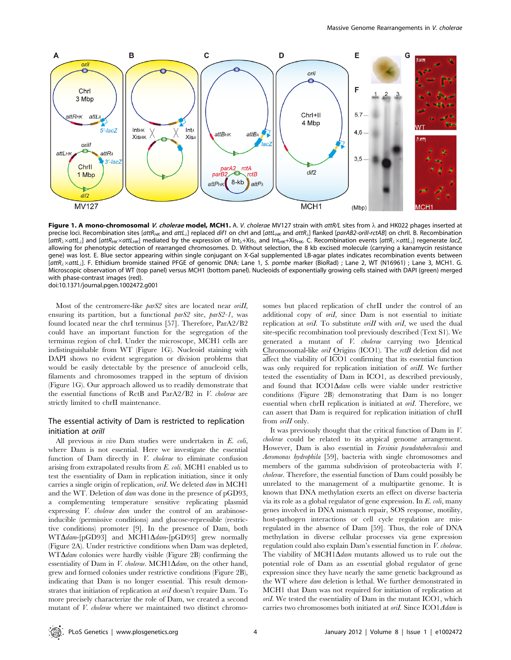

Figure 1. A mono-chromosomal V. cholerae model, MCH1. A. V. cholerae MV127 strain with attR/L sites from  $\lambda$  and HK022 phages inserted at precise loci. Recombination sites [attR<sub>HK</sub> and attL<sub>il</sub>] replaced dif1 on chrI and [attL<sub>HK</sub> and attR<sub>il</sub>] flanked [parAB2-orill-rctAB] on chrII. B. Recombination  $[$ att $R_\lambda \times$ att $L_\lambda$ ] and  $[$ att $R_{HK} \times$ att $L_{HK}$  mediated by the expression of  $Int_\lambda +Xi_{\lambda}$  and  $Int_{HK} +Xi_{HK}$ . C. Recombination events  $[$ att $R_\lambda \times$ att $L_\lambda$ ] regenerate lacZ, allowing for phenotypic detection of rearranged chromosomes. D. Without selection, the 8 kb excised molecule (carrying a kanamycin resistance gene) was lost. E. Blue sector appearing within single conjugant on X-Gal supplemented LB-agar plates indicates recombination events between  $[attR<sub>2</sub> \times attL<sub>2</sub>].$  F. Ethidium bromide stained PFGE of genomic DNA: Lane 1, S. pombe marker (BioRad) ; Lane 2, WT (N16961) ; Lane 3, MCH1. G. Microscopic observation of WT (top panel) versus MCH1 (bottom panel). Nucleoids of exponentially growing cells stained with DAPI (green) merged with phase-contrast images (red). doi:10.1371/journal.pgen.1002472.g001

Most of the centromere-like *parS2* sites are located near *oriII*, ensuring its partition, but a functional parS2 site, parS2-1, was found located near the chrI terminus [57]. Therefore, ParA2/B2 could have an important function for the segregation of the terminus region of chrI. Under the microscope, MCH1 cells are indistinguishable from WT (Figure 1G). Nucleoid staining with DAPI shows no evident segregation or division problems that would be easily detectable by the presence of anucleoid cells, filaments and chromosomes trapped in the septum of division (Figure 1G). Our approach allowed us to readily demonstrate that the essential functions of RctB and ParA2/B2 in V. cholerae are strictly limited to chrII maintenance.

# The essential activity of Dam is restricted to replication initiation at *orill*

All previous in vivo Dam studies were undertaken in E. coli, where Dam is not essential. Here we investigate the essential function of Dam directly in V. cholerae to eliminate confusion arising from extrapolated results from E. coli. MCH1 enabled us to test the essentiality of Dam in replication initiation, since it only carries a single origin of replication, oril. We deleted dam in MCH1 and the WT. Deletion of dam was done in the presence of pGD93, a complementing temperature sensitive replicating plasmid expressing *V. cholerae dam* under the control of an arabinoseinducible (permissive conditions) and glucose-repressible (restrictive conditions) promoter [9]. In the presence of Dam, both  $WT\Delta dam$ -[pGD93] and MCH1 $\Delta dam$ -[pGD93] grew normally (Figure 2A). Under restrictive conditions when Dam was depleted,  $WT\Delta dam$  colonies were hardly visible (Figure 2B) confirming the essentiality of Dam in V. cholerae. MCH1 $\Delta$ dam, on the other hand, grew and formed colonies under restrictive conditions (Figure 2B), indicating that Dam is no longer essential. This result demonstrates that initiation of replication at oriI doesn't require Dam. To more precisely characterize the role of Dam, we created a second mutant of V. cholerae where we maintained two distinct chromosomes but placed replication of chrII under the control of an additional copy of oril, since Dam is not essential to initiate replication at  $\text{oril.}$  To substitute  $\text{oril}$  with  $\text{oril.}$  we used the dual site-specific recombination tool previously described (Text S1). We generated a mutant of V. cholerae carrying two Identical Chromosomal-like oriI Origins (ICO1). The rctB deletion did not affect the viability of ICO1 confirming that its essential function was only required for replication initiation of oriII. We further tested the essentiality of Dam in ICO1, as described previously, and found that  $ICO1\Delta dam$  cells were viable under restrictive conditions (Figure 2B) demonstrating that Dam is no longer essential when chrII replication is initiated at *oriI*. Therefore, we can assert that Dam is required for replication initiation of chrII from *oriII* only.

It was previously thought that the critical function of Dam in V. cholerae could be related to its atypical genome arrangement. However, Dam is also essential in Yersinia pseudotuberculosis and Aeromonas hydrophila [59], bacteria with single chromosomes and members of the gamma subdivision of proteobacteria with V. cholerae. Therefore, the essential function of Dam could possibly be unrelated to the management of a multipartite genome. It is known that DNA methylation exerts an effect on diverse bacteria via its role as a global regulator of gene expression. In  $E$ .  $\omega h$ , many genes involved in DNA mismatch repair, SOS response, motility, host-pathogen interactions or cell cycle regulation are misregulated in the absence of Dam [59]. Thus, the role of DNA methylation in diverse cellular processes via gene expression regulation could also explain Dam's essential function in V. cholerae. The viability of MCH1 $\Delta$ dam mutants allowed us to rule out the potential role of Dam as an essential global regulator of gene expression since they have nearly the same genetic background as the WT where dam deletion is lethal. We further demonstrated in MCH1 that Dam was not required for initiation of replication at oriI. We tested the essentiality of Dam in the mutant ICO1, which carries two chromosomes both initiated at oril. Since  $ICO1\Delta$ dam is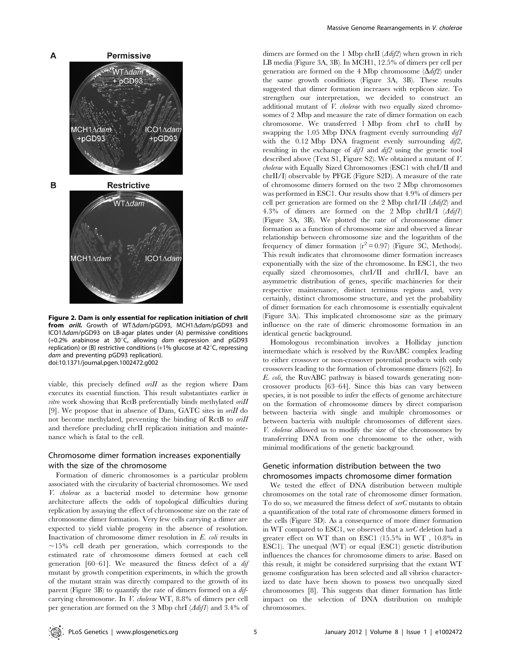

Figure 2. Dam is only essential for replication initiation of chrII from *orill*. Growth of WT $\Delta$ dam/pGD93, MCH1 $\Delta$ dam/pGD93 and  $ICO1\Delta dam/pGD93$  on LB-agar plates under (A) permissive conditions (+0.2% arabinose at 30°C, allowing dam expression and pGD93 replication) or (B) restrictive conditions  $(+1\%$  glucose at  $42^{\circ}$ C, repressing dam and preventing pGD93 replication). doi:10.1371/journal.pgen.1002472.g002

viable, this precisely defined oriII as the region where Dam executes its essential function. This result substantiates earlier in *vitro* work showing that RctB preferentially binds methylated *oriII* [9]. We propose that in absence of Dam, GATC sites in *oriII* do not become methylated, preventing the binding of RctB to oriII and therefore precluding chrII replication initiation and maintenance which is fatal to the cell.

# Chromosome dimer formation increases exponentially with the size of the chromosome

Formation of dimeric chromosomes is a particular problem associated with the circularity of bacterial chromosomes. We used V. cholerae as a bacterial model to determine how genome architecture affects the odds of topological difficulties during replication by assaying the effect of chromosome size on the rate of chromosome dimer formation. Very few cells carrying a dimer are expected to yield viable progeny in the absence of resolution. Inactivation of chromosome dimer resolution in E. coli results in  $\sim$ 15% cell death per generation, which corresponds to the estimated rate of chromosome dimers formed at each cell generation [60–61]. We measured the fitness defect of a dif mutant by growth competition experiments, in which the growth of the mutant strain was directly compared to the growth of its parent (Figure 3B) to quantify the rate of dimers formed on a difcarrying chromosome. In V. cholerae WT, 8.8% of dimers per cell per generation are formed on the 3 Mbp chrI  $(\Delta \text{diff})$  and 3.4% of dimers are formed on the 1 Mbp chrII  $(\Delta di f2)$  when grown in rich LB media (Figure 3A, 3B). In MCH1, 12.5% of dimers per cell per generation are formed on the 4 Mbp chromosome  $(\Delta di/2)$  under the same growth conditions (Figure 3A, 3B). These results suggested that dimer formation increases with replicon size. To strengthen our interpretation, we decided to construct an additional mutant of V. cholerae with two equally sized chromosomes of 2 Mbp and measure the rate of dimer formation on each chromosome. We transferred 1 Mbp from chrI to chrII by swapping the 1.05 Mbp DNA fragment evenly surrounding  $difl$ with the 0.12 Mbp DNA fragment evenly surrounding dif2, resulting in the exchange of dif1 and dif2 using the genetic tool described above (Text S1, Figure S2). We obtained a mutant of V. cholerae with Equally Sized Chromosomes (ESC1 with chrI/II and chrII/I) observable by PFGE (Figure S2D). A measure of the rate of chromosome dimers formed on the two 2 Mbp chromosomes was performed in ESC1. Our results show that 4.9% of dimers per cell per generation are formed on the 2 Mbp chrI/II  $\langle \Delta \hat{di}$ 2) and 4.3% of dimers are formed on the 2 Mbp chrII/I  $(\Delta di f1)$ (Figure 3A, 3B). We plotted the rate of chromosome dimer formation as a function of chromosome size and observed a linear relationship between chromosome size and the logarithm of the frequency of dimer formation  $(r^2 = 0.97)$  (Figure 3C, Methods). This result indicates that chromosome dimer formation increases exponentially with the size of the chromosome. In ESC1, the two equally sized chromosomes, chrI/II and chrII/I, have an asymmetric distribution of genes, specific machineries for their respective maintenance, distinct terminus regions and, very certainly, distinct chromosome structure, and yet the probability of dimer formation for each chromosome is essentially equivalent (Figure 3A). This implicated chromosome size as the primary influence on the rate of dimeric chromosome formation in an identical genetic background.

Homologous recombination involves a Holliday junction intermediate which is resolved by the RuvABC complex leading to either crossover or non-crossover potential products with only crossovers leading to the formation of chromosome dimers [62]. In E. coli, the RuvABC pathway is biased towards generating noncrossover products [63–64]. Since this bias can vary between species, it is not possible to infer the effects of genome architecture on the formation of chromosome dimers by direct comparison between bacteria with single and multiple chromosomes or between bacteria with multiple chromosomes of different sizes. V. cholerae allowed us to modify the size of the chromosomes by transferring DNA from one chromosome to the other, with minimal modifications of the genetic background.

# Genetic information distribution between the two chromosomes impacts chromosome dimer formation

We tested the effect of DNA distribution between multiple chromosomes on the total rate of chromosome dimer formation. To do so, we measured the fitness defect of xerC mutants to obtain a quantification of the total rate of chromosome dimers formed in the cells (Figure 3D). As a consequence of more dimer formation in WT compared to ESC1, we observed that a xerC deletion had a greater effect on WT than on ESC1 (15.5% in WT , 10.8% in ESC1). The unequal (WT) or equal (ESC1) genetic distribution influences the chances for chromosome dimers to arise. Based on this result, it might be considered surprising that the extant WT genome configuration has been selected and all vibrios characterized to date have been shown to possess two unequally sized chromosomes [8]. This suggests that dimer formation has little impact on the selection of DNA distribution on multiple chromosomes.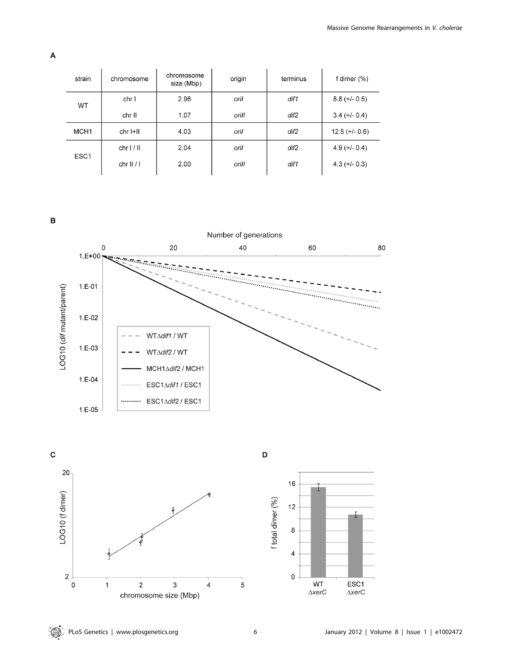| strain           | chromosome | chromosome<br>size (Mbp) | origin | terminus | f dimer (%)      |
|------------------|------------|--------------------------|--------|----------|------------------|
| <b>WT</b>        | chr I      | 2.96                     | oril   | dif1     | $8.8 (+/- 0.5)$  |
|                  | chr II     | 1.07                     | orill  | dif2     | $3.4 (+/- 0.4)$  |
| MCH <sub>1</sub> | chr I+II   | 4.03                     | oril   | dif2     | $12.5 (+/- 0.6)$ |
| ESC <sub>1</sub> | chrI/II    | 2.04                     | oril   | dif2     | $4.9 (+/- 0.4)$  |
|                  | chrII/I    | 2.00                     | orill  | dif1     | $4.3 (+/- 0.3)$  |

 $\, {\bf B}$ 

A





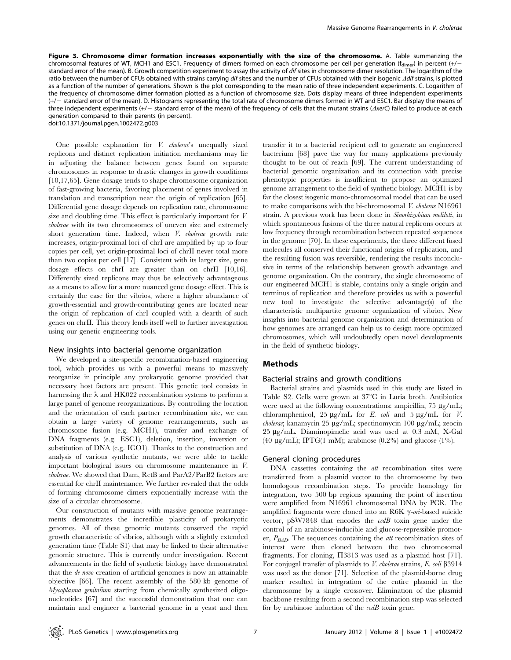Figure 3. Chromosome dimer formation increases exponentially with the size of the chromosome. A. Table summarizing the chromosomal features of WT, MCH1 and ESC1. Frequency of dimers formed on each chromosome per cell per generation ( $f_{dimer}$ ) in percent (+/standard error of the mean). B. Growth competition experiment to assay the activity of dif sites in chromosome dimer resolution. The logarithm of the ratio between the number of CFUs obtained with strains carrying dif sites and the number of CFUs obtained with their isogenic  $\Delta$ dif strains, is plotted as a function of the number of generations. Shown is the plot corresponding to the mean ratio of three independent experiments. C. Logarithm of the frequency of chromosome dimer formation plotted as a function of chromosome size. Dots display means of three independent experiments (+/2 standard error of the mean). D. Histograms representing the total rate of chromosome dimers formed in WT and ESC1. Bar display the means of three independent experiments  $(+/-$  standard error of the mean) of the frequency of cells that the mutant strains ( $\triangle$ xerC) failed to produce at each generation compared to their parents (in percent).

doi:10.1371/journal.pgen.1002472.g003

One possible explanation for V. cholerae's unequally sized replicons and distinct replication initiation mechanisms may lie in adjusting the balance between genes found on separate chromosomes in response to drastic changes in growth conditions [10,17,65]. Gene dosage tends to shape chromosome organization of fast-growing bacteria, favoring placement of genes involved in translation and transcription near the origin of replication [65]. Differential gene dosage depends on replication rate, chromosome size and doubling time. This effect is particularly important for V. cholerae with its two chromosomes of uneven size and extremely short generation time. Indeed, when V. cholerae growth rate increases, origin-proximal loci of chrI are amplified by up to four copies per cell, yet origin-proximal loci of chrII never total more than two copies per cell [17]. Consistent with its larger size, gene dosage effects on chrI are greater than on chrII [10,16]. Differently sized replicons may thus be selectively advantageous as a means to allow for a more nuanced gene dosage effect. This is certainly the case for the vibrios, where a higher abundance of growth-essential and growth-contributing genes are located near the origin of replication of chrI coupled with a dearth of such genes on chrII. This theory lends itself well to further investigation using our genetic engineering tools.

#### New insights into bacterial genome organization

We developed a site-specific recombination-based engineering tool, which provides us with a powerful means to massively reorganize in principle any prokaryotic genome provided that necessary host factors are present. This genetic tool consists in harnessing the  $\lambda$  and HK022 recombination systems to perform a large panel of genome reorganizations. By controlling the location and the orientation of each partner recombination site, we can obtain a large variety of genome rearrangements, such as chromosome fusion (e.g. MCH1), transfer and exchange of DNA fragments (e.g. ESC1), deletion, insertion, inversion or substitution of DNA (e.g. ICO1). Thanks to the construction and analysis of various synthetic mutants, we were able to tackle important biological issues on chromosome maintenance in V. cholerae. We showed that Dam, RctB and ParA2/ParB2 factors are essential for chrII maintenance. We further revealed that the odds of forming chromosome dimers exponentially increase with the size of a circular chromosome.

Our construction of mutants with massive genome rearrangements demonstrates the incredible plasticity of prokaryotic genomes. All of these genomic mutants conserved the rapid growth characteristic of vibrios, although with a slightly extended generation time (Table S1) that may be linked to their alternative genomic structure. This is currently under investigation. Recent advancements in the field of synthetic biology have demonstrated that the de novo creation of artificial genomes is now an attainable objective [66]. The recent assembly of the 580 kb genome of Mycoplasma genitalium starting from chemically synthesized oligonucleotides [67] and the successful demonstration that one can maintain and engineer a bacterial genome in a yeast and then

transfer it to a bacterial recipient cell to generate an engineered bacterium [68] pave the way for many applications previously thought to be out of reach [69]. The current understanding of bacterial genomic organization and its connection with precise phenotypic properties is insufficient to propose an optimized genome arrangement to the field of synthetic biology. MCH1 is by far the closest isogenic mono-chromosomal model that can be used to make comparisons with the bi-chromosomal V. cholerae N16961 strain. A previous work has been done in Sinorhizobium meliloti, in which spontaneous fusions of the three natural replicons occurs at low frequency through recombination between repeated sequences in the genome [70]. In these experiments, the three different fused molecules all conserved their functional origins of replication, and the resulting fusion was reversible, rendering the results inconclusive in terms of the relationship between growth advantage and genome organization. On the contrary, the single chromosome of our engineered MCH1 is stable, contains only a single origin and terminus of replication and therefore provides us with a powerful new tool to investigate the selective advantage(s) of the characteristic multipartite genome organization of vibrios. New insights into bacterial genome organization and determination of how genomes are arranged can help us to design more optimized chromosomes, which will undoubtedly open novel developments in the field of synthetic biology.

#### Methods

#### Bacterial strains and growth conditions

Bacterial strains and plasmids used in this study are listed in Table S2. Cells were grown at  $37^{\circ}$ C in Luria broth. Antibiotics were used at the following concentrations: ampicillin,  $75 \mu g/mL$ ; chloramphenicol,  $25 \mu g/mL$  for E. coli and  $5 \mu g/mL$  for V.  $cholerae$ ; kanamycin 25 µg/mL; spectinomycin 100 µg/mL; zeocin 25 mg/mL. Diaminopimelic acid was used at 0.3 mM, X-Gal (40  $\mu$ g/mL); IPTG(1 mM); arabinose (0.2%) and glucose (1%).

#### General cloning procedures

DNA cassettes containing the *att* recombination sites were transferred from a plasmid vector to the chromosome by two homologous recombination steps. To provide homology for integration, two 500 bp regions spanning the point of insertion were amplified from N16961 chromosomal DNA by PCR. The amplified fragments were cloned into an R6K  $\gamma$ -on-based suicide vector,  $pSW7848$  that encodes the  $\alpha dB$  toxin gene under the control of an arabinose-inducible and glucose-repressible promoter,  $P_{BAD}$ . The sequences containing the *att* recombination sites of interest were then cloned between the two chromosomal fragments. For cloning,  $\Pi$ 3813 was used as a plasmid host [71]. For conjugal transfer of plasmids to V. cholerae strains, E. coli  $\beta$ 3914 was used as the donor [71]. Selection of the plasmid-borne drug marker resulted in integration of the entire plasmid in the chromosome by a single crossover. Elimination of the plasmid backbone resulting from a second recombination step was selected for by arabinose induction of the  $\alpha dB$  toxin gene.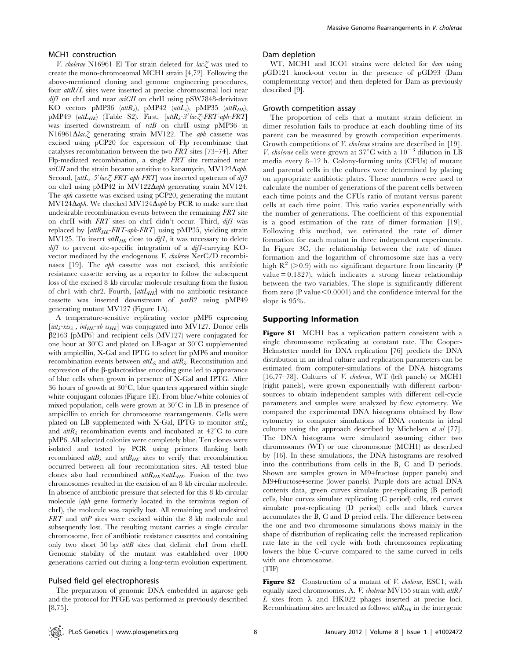#### MCH1 construction

V. cholerae N16961 El Tor strain deleted for lac $Z$  was used to create the mono-chromosomal MCH1 strain [4,72]. Following the above-mentioned cloning and genome engineering procedures, four attR/L sites were inserted at precise chromosomal loci near  $difl$  on chrI and near  $oriCH$  on chrII using pSW7848-derivitave KO vectors pMP36 (att $R_{\lambda}$ ), pMP42 (att $L_{\lambda}$ ), pMP35 (att $R_{HK}$ ), pMP49  $(\text{attL}_{HK})$  (Table S2). First,  $[\text{attR}_{\lambda}$ -3'lac $\zeta$ -FRT-aph-FRT] was inserted downstream of  $rctB$  on chrII using pMP36 in N16961 $\Delta$ lac $\zeta$  generating strain MV122. The aph cassette was excised using pCP20 for expression of Flp recombinase that catalyses recombination between the two FRT sites [73–74]. After Flp-mediated recombination, a single FRT site remained near  $oiCH$  and the strain became sensitive to kanamycin, MV122 $\Delta$ aph. Second,  $\int \frac{a t L \lambda}{2}$ -5'  $\frac{d \lambda}{d\lambda}$ -FRT-aph-FRT] was inserted upstream of  $\frac{d \lambda}{d\lambda}$ on chrI using pMP42 in MV122 $\Delta$ aph generating strain MV124. The aph cassette was excised using pCP20, generating the mutant MV124 $\Delta$ aph. We checked MV124 $\Delta$ aph by PCR to make sure that undesirable recombination events between the remaining FRT site on chrII with FRT sites on chrI didn't occur. Third, dif1 was replaced by  $\lceil \text{attR}_{HK} - \text{FRT-aph-FRT} \rceil$  using pMP35, yielding strain MV125. To insert  $\alpha t R_{HK}$  close to  $\alpha t f$ , it was necessary to delete dif1 to prevent site-specific integration of a dif1-carrying KOvector mediated by the endogenous V. cholerae XerC/D recombinases [19]. The aph cassette was not excised, this antibiotic resistance cassette serving as a reporter to follow the subsequent loss of the excised 8 kb circular molecule resulting from the fusion of chr1 with chr2. Fourth,  $[$ att $L$ <sub>HK</sub> $]$  with no antibiotic resistance cassette was inserted downstream of parB2 using pMP49 generating mutant MV127 (Figure 1A).

A temperature-sensitive replicating vector pMP6 expressing  $[int_{\lambda} -xis_{\lambda}$ ,  $int_{HK}-xb$  is<sub>HK</sub>] was conjugated into MV127. Donor cells  $\beta$ 2163 [pMP6] and recipient cells (MV127) were conjugated for one hour at  $30^{\circ}$ C and plated on LB-agar at  $30^{\circ}$ C supplemented with ampicillin, X-Gal and IPTG to select for pMP6 and monitor recombination events between  $\text{attL}_{\lambda}$  and  $\text{attR}_{\lambda}$ . Reconstitution and expression of the  $\beta$ -galactosidase encoding gene led to appearance of blue cells when grown in presence of X-Gal and IPTG. After 36 hours of growth at  $30^{\circ}$ C, blue quarters appeared within single white conjugant colonies (Figure 1E). From blue/white colonies of mixed population, cells were grown at  $30^{\circ}$ C in LB in presence of ampicillin to enrich for chromosome rearrangements. Cells were plated on LB supplemented with X-Gal, IPTG to monitor  $\text{att}L_{\lambda}$ and  $\alpha t R_1$  recombination events and incubated at 42<sup>o</sup>C to cure pMP6. All selected colonies were completely blue. Ten clones were isolated and tested by PCR using primers flanking both recombined  $attB_{\lambda}$  and  $attB_{HK}$  sites to verify that recombination occurred between all four recombination sites. All tested blue clones also had recombined  $attR_{HK}$ <sup>x</sup> attL<sub>HK</sub>. Fusion of the two chromosomes resulted in the excision of an 8 kb circular molecule. In absence of antibiotic pressure that selected for this 8 kb circular molecule (aph gene formerly located in the terminus region of chrI), the molecule was rapidly lost. All remaining and undesired FRT and attP sites were excised within the 8 kb molecule and subsequently lost. The resulting mutant carries a single circular chromosome, free of antibiotic resistance cassettes and containing only two short 50 bp attB sites that delimit chrI from chrII. Genomic stability of the mutant was established over 1000 generations carried out during a long-term evolution experiment.

#### Pulsed field gel electrophoresis

The preparation of genomic DNA embedded in agarose gels and the protocol for PFGE was performed as previously described [8,75].

#### Dam depletion

WT, MCH1 and ICO1 strains were deleted for dam using pGD121 knock-out vector in the presence of pGD93 (Dam complementing vector) and then depleted for Dam as previously described [9].

#### Growth competition assay

The proportion of cells that a mutant strain deficient in dimer resolution fails to produce at each doubling time of its parent can be measured by growth competition experiments. Growth competitions of *V. cholerae* strains are described in [19]. V. cholerae cells were grown at 37°C with a  $10^{-3}$  dilution in LB media every 8–12 h. Colony-forming units (CFUs) of mutant and parental cells in the cultures were determined by plating on appropriate antibiotic plates. These numbers were used to calculate the number of generations of the parent cells between each time points and the CFUs ratio of mutant versus parent cells at each time point. This ratio varies exponentially with the number of generations. The coefficient of this exponential is a good estimation of the rate of dimer formation [19]. Following this method, we estimated the rate of dimer formation for each mutant in three independent experiments. In Figure 3C, the relationship between the rate of dimer formation and the logarithm of chromosome size has a very high  $R^2$  (>0.9) with no significant departure from linearity (P value  $= 0.1827$ , which indicates a strong linear relationship between the two variables. The slope is significantly different from zero (P value $< 0.0001$ ) and the confidence interval for the slope is 95%.

# Supporting Information

Figure S1 MCH1 has a replication pattern consistent with a single chromosome replicating at constant rate. The Cooper-Helmstetter model for DNA replication [76] predicts the DNA distribution in an ideal culture and replication parameters can be estimated from computer-simulations of the DNA histograms [16,77-78]. Cultures of V. cholerae, WT (left panels) or MCH1 (right panels), were grown exponentially with different carbonsources to obtain independent samples with different cell-cycle parameters and samples were analyzed by flow cytometry. We compared the experimental DNA histograms obtained by flow cytometry to computer simulations of DNA contents in ideal cultures using the approach described by Michelsen et al [77]. The DNA histograms were simulated assuming either two chromosomes (WT) or one chromosome (MCH1) as described by [16]. In these simulations, the DNA histograms are resolved into the contributions from cells in the B, C and D periods. Shown are samples grown in M9+fructose (upper panels) and M9+fructose+serine (lower panels). Purple dots are actual DNA contents data, green curves simulate pre-replicating (B period) cells, blue curves simulate replicating (C period) cells, red curves simulate post-replicating (D period) cells and black curves accumulates the B, C and D period cells. The difference between the one and two chromosome simulations shows mainly in the shape of distribution of replicating cells: the increased replication rate late in the cell cycle with both chromosomes replicating lowers the blue C-curve compared to the same curved in cells with one chromosome.

# (TIF)

Figure S2 Construction of a mutant of V. cholerae, ESC1, with equally sized chromosomes. A. V. cholerae MV155 strain with attR/  $L$  sites from  $\lambda$  and HK022 phages inserted at precise loci. Recombination sites are located as follows:  $attR_{HK}$  in the intergenic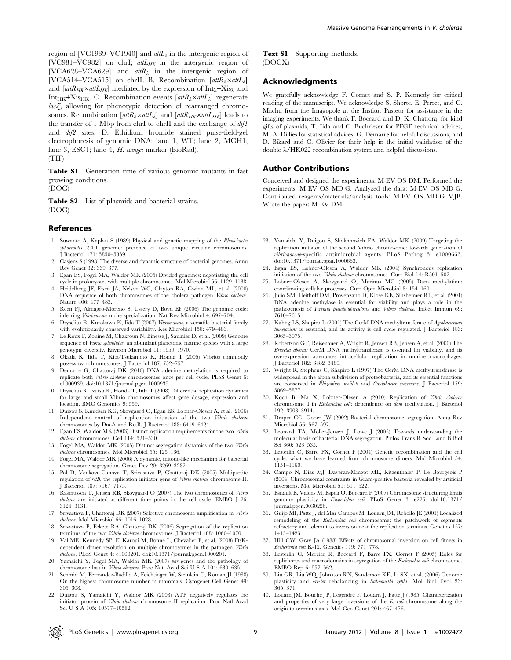region of [VC1939–VC1940] and  $\alpha tL_{\lambda}$  in the intergenic region of [VC981-VC982] on chrI;  $attL_{HK}$  in the intergenic region of [VCA628-VCA629] and  $attR_{\lambda}$  in the intergenic region of [VCA514–VCA515] on chrII. B. Recombination  $[attR_{\lambda} \times attL_{\lambda}]$ and  $[$ *attR<sub>HK</sub>*×*attL<sub>HK</sub>* $]$  mediated by the expression of Int<sub> $\lambda$ </sub>+Xis<sub> $\lambda$ </sub> and Int<sub>HK</sub>+Xis<sub>HK</sub>. C. Recombination events  $[$ att $R_\lambda \times$ att $L_\lambda$ ] regenerate  $lac \gtrsim$  allowing for phenotypic detection of rearranged chromosomes. Recombination  $[attR_{\lambda} \times attL_{\lambda}]$  and  $[attR_{HK} \times attL_{HK}]$  leads to the transfer of 1 Mbp from chrI to chrII and the exchange of  $difl$ and dif2 sites. D. Ethidium bromide stained pulse-field-gel electrophoresis of genomic DNA: lane 1, WT; lane 2, MCH1; lane 3, ESC1; lane 4, H. wingei marker (BioRad). (TIF)

Table S1 Generation time of various genomic mutants in fast growing conditions.

(DOC)

Table S2 List of plasmids and bacterial strains. (DOC)

#### References

- 1. Suwanto A, Kaplan S (1989) Physical and genetic mapping of the Rhodobacter sphaeroides 2.4.1 genome: presence of two unique circular chromosomes. J Bacteriol 171: 5850–5859.
- 2. Casjens S (1998) The diverse and dynamic structure of bacterial genomes. Annu Rev Genet 32: 339–377.
- 3. Egan ES, Fogel MA, Waldor MK (2005) Divided genomes: negotiating the cell cycle in prokaryotes with multiple chromosomes. Mol Microbiol 56: 1129–1138.
- 4. Heidelberg JF, Eisen JA, Nelson WC, Clayton RA, Gwinn ML, et al. (2000) DNA sequence of both chromosomes of the cholera pathogen Vibrio cholerae. Nature 406: 477–483.
- 5. Reen FJ, Almagro-Moreno S, Ussery D, Boyd EF (2006) The genomic code: inferring Vibrionaceae niche specialization. Nat Rev Microbiol 4: 697–704.
- 6. Dryselius R, Kurokawa K, Iida T (2007) Vibrionaceae, a versatile bacterial family with evolutionarily conserved variability. Res Microbiol 158: 479–486.
- 7. Le Roux F, Zouine M, Chakroun N, Binesse J, Saulnier D, et al. (2009) Genome sequence of Vibrio splendidus: an abundant planctonic marine species with a large genotypic diversity. Environ Microbiol 11: 1959–1970.
- 8. Okada K, Iida T, Kita-Tsukamoto K, Honda T (2005) Vibrios commonly possess two chromosomes. J Bacteriol 187: 752–757.
- 9. Demarre G, Chattoraj DK (2010) DNA adenine methylation is required to replicate both Vibrio cholerae chromosomes once per cell cycle. PLoS Genet 6: e1000939. doi:10.1371/journal.pgen.1000939.
- 10. Dryselius R, Izutsu K, Honda T, Iida T (2008) Differential replication dynamics for large and small Vibrio chromosomes affect gene dosage, expression and location. BMC Genomics 9: 559.
- 11. Duigou S, Knudsen KG, Skovgaard O, Egan ES, Lobner-Olesen A, et al. (2006) Independent control of replication initiation of the two Vibrio cholerae chromosomes by DnaA and RctB. J Bacteriol 188: 6419–6424.
- 12. Egan ES, Waldor MK (2003) Distinct replication requirements for the two Vibrio cholerae chromosomes. Cell 114: 521–530.
- 13. Fogel MA, Waldor MK (2005) Distinct segregation dynamics of the two Vibrio cholerae chromosomes. Mol Microbiol 55: 125–136.
- 14. Fogel MA, Waldor MK (2006) A dynamic, mitotic-like mechanism for bacterial chromosome segregation. Genes Dev 20: 3269–3282.
- 15. Pal D, Venkova-Canova T, Srivastava P, Chattoraj DK (2005) Multipartite regulation of rctB, the replication initiator gene of Vibrio cholerae chromosome II. J Bacteriol 187: 7167–7175.
- 16. Rasmussen T, Jensen RB, Skovgaard O (2007) The two chromosomes of Vibrio cholerae are initiated at different time points in the cell cycle. EMBO J 26: 3124–3131.
- 17. Srivastava P, Chattoraj DK (2007) Selective chromosome amplification in Vibrio cholerae. Mol Microbiol 66: 1016–1028.
- 18. Srivastava P, Fekete RA, Chattoraj DK (2006) Segregation of the replication terminus of the two Vibrio cholerae chromosomes. J Bacteriol 188: 1060–1070.
- 19. Val ME, Kennedy SP, El Karoui M, Bonne L, Chevalier F, et al. (2008) FtsKdependent dimer resolution on multiple chromosomes in the pathogen Vibrio cholerae. PLoS Genet 4: e1000201. doi:10.1371/journal.pgen.1000201.
- 20. Yamaichi Y, Fogel MA, Waldor MK (2007) par genes and the pathology of chromosome loss in Vibrio cholerae. Proc Natl Acad Sci U S A 104: 630–635.
- 21. Schmid M, Fernandez-Badillo A, Feichtinger W, Steinlein C, Roman JI (1988) On the highest chromosome number in mammals. Cytogenet Cell Genet 49: 305–308.

Text S1 Supporting methods. (DOCX)

#### Acknowledgments

We gratefully acknowledge F. Cornet and S. P. Kennedy for critical reading of the manuscript. We acknowledge S. Shorte, E. Perret, and C. Machu from the Imagopole at the Institut Pasteur for assistance in the imaging experiments. We thank F. Boccard and D. K. Chattoraj for kind gifts of plasmids, T. Iida and C. Buchrieser for PFGE technical advices, M.-A. Dillies for statistical advices, G. Demarre for helpful discussions, and D. Bikard and C. Olivier for their help in the initial validation of the double  $\lambda$ /HK022 recombination system and helpful discussions.

#### Author Contributions

Conceived and designed the experiments: M-EV OS DM. Performed the experiments: M-EV OS MD-G. Analyzed the data: M-EV OS MD-G. Contributed reagents/materials/analysis tools: M-EV OS MD-G MJB. Wrote the paper: M-EV DM.

- 23. Yamaichi Y, Duigou S, Shakhnovich EA, Waldor MK (2009) Targeting the replication initiator of the second Vibrio chromosome: towards generation of vibrionaceae-specific antimicrobial agents. PLoS Pathog 5: e1000663. doi:10.1371/journal.ppat.1000663.
- 24. Egan ES, Lobner-Olesen A, Waldor MK (2004) Synchronous replication initiation of the two Vibrio cholerae chromosomes. Curr Biol 14: R501–502.
- 25. Lobner-Olesen A, Skovgaard O, Marinus MG (2005) Dam methylation: coordinating cellular processes. Curr Opin Microbiol 8: 154–160.
- 26. Julio SM, Heithoff DM, Provenzano D, Klose KE, Sinsheimer RL, et al. (2001) DNA adenine methylase is essential for viability and plays a role in the pathogenesis of Yersinia pseudotuberculosis and Vibrio cholerae. Infect Immun 69: 7610–7615.
- 27. Kahng LS, Shapiro L (2001) The CcrM DNA methyltransferase of Agrobacterium tumefaciens is essential, and its activity is cell cycle regulated. J Bacteriol 183: 3065–3075.
- 28. Robertson GT, Reisenauer A, Wright R, Jensen RB, Jensen A, et al. (2000) The Brucella abortus CcrM DNA methyltransferase is essential for viability, and its overexpression attenuates intracellular replication in murine macrophages. J Bacteriol 182: 3482–3489.
- 29. Wright R, Stephens C, Shapiro L (1997) The CcrM DNA methyltransferase is widespread in the alpha subdivision of proteobacteria, and its essential functions are conserved in Rhizobium meliloti and Caulobacter crescentus. J Bacteriol 179: 5869–5877.
- 30. Koch B, Ma X, Lobner-Olesen A (2010) Replication of Vibrio cholerae chromosome I in Escherichia coli: dependence on dam methylation. J Bacteriol 192: 3903–3914.
- 31. Draper GC, Gober JW (2002) Bacterial chromosome segregation. Annu Rev Microbiol 56: 567–597.
- 32. Leonard TA, Moller-Jensen J, Lowe J (2005) Towards understanding the molecular basis of bacterial DNA segregation. Philos Trans R Soc Lond B Biol Sci 360: 523–535.
- 33. Lesterlin C, Barre FX, Cornet F (2004) Genetic recombination and the cell cycle: what we have learned from chromosome dimers. Mol Microbiol 54: 1151–1160.
- 34. Campo N, Dias MJ, Daveran-Mingot ML, Ritzenthaler P, Le Bourgeois P (2004) Chromosomal constraints in Gram-positive bacteria revealed by artificial inversions. Mol Microbiol 51: 511–522.
- 35. Esnault E, Valens M, Espeli O, Boccard F (2007) Chromosome structuring limits genome plasticity in Escherichia coli. PLoS Genet 3: e226. doi:10.1371/ journal.pgen.0030226.
- 36. Guijo MI, Patte J, del Mar Campos M, Louarn JM, Rebollo JE (2001) Localized remodeling of the Escherichia coli chromosome: the patchwork of segments refractory and tolerant to inversion near the replication terminus. Genetics 157: 1413–1423.
- 37. Hill CW, Gray JA (1988) Effects of chromosomal inversion on cell fitness in Escherichia coli K-12. Genetics 119: 771–778.
- Lesterlin C, Mercier R, Boccard F, Barre FX, Cornet F (2005) Roles for replichores and macrodomains in segregation of the Escherichia coli chromosome. EMBO Rep 6: 557–562.
- 39. Liu GR, Liu WQ, Johnston RN, Sanderson KE, Li SX, et al. (2006) Genome plasticity and ori-ter rebalancing in Salmonella typhi. Mol Biol Evol 23: 365–371.
- 40. Louarn JM, Bouche JP, Legendre F, Louarn J, Patte J (1985) Characterization and properties of very large inversions of the E. coli chromosome along the origin-to-terminus axis. Mol Gen Genet 201: 467–476.